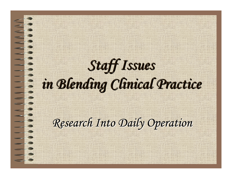# Staff Issues *in Blending Clinical Practice in Blending Clinical Practice*

 $\sum_{i=1}^{n}$ 

<u>SP</u>

<u>e de la p</u>

-2

<u>e de la c</u> <u>and the se</u>

<u> and and a state</u>

**Contract Contract Contract Contract**  $\overline{\phantom{a}}$ <u>e de la pro</u> - 23 <u> a seria</u> **Service State** <u>and the second property</u>

<u>and the second second and the second second second and second second second second second second second second second second second second second second second second second second second second second second second secon</u> **CONTRACTOR** <u> and the second second second second second second second second second second second second second second second second second second second second second second second second second second second second second second se</u>

### *Research Into Daily Operation Research Into Daily Operation*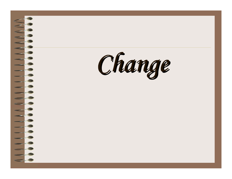

 $\overline{\phantom{a}}$ 

 $\rightarrow$ 

 $\qquad \qquad \bullet$ 

E.

 $\equiv$ 

 $-<sup>°</sup>$ 

<u>and a sta</u>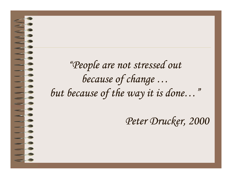#### *"People are not stressed out because of change … but because of the way it is done…"*

*Peter Drucker, 2000*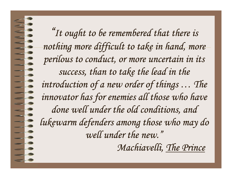*"It ought to be remembered that there is nothing more difficult to take in hand, more perilous to conduct, or more uncertain in its success, than to take the lead in the introduction of a new order of things … The innovator has for enemies all those who have done well under the old conditions, and lukewarm defenders among those who may do well under the new." Machiavelli, The Prince*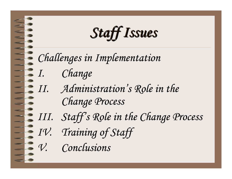*Staff Issues Staff Issues*

*Challenges in Implementation*

*I. Change*

*II. Administration's Role in the Change Process*

*III. Staff's Role in the Change Process*

*IV. Training of Staff*

*V. Conclusions*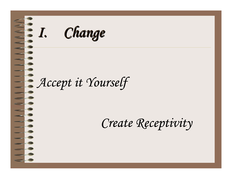*I. Change*

*Accept it Yourself*

*Create Receptivity*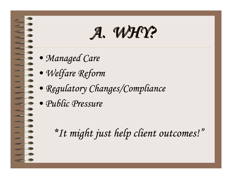*A. WHY?*

- *•Managed Care*
- *•Welfare Reform*
- *•Regulatory Changes/Compliance*
- *• Public Pressure*

*\*It might just help client outcomes!"*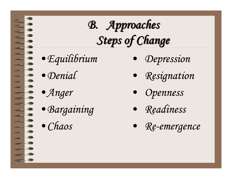*B. Approaches Approaches Steps of Change Steps of Change*

- *•Equilibrium*
- *•Denial*
- *•Anger*
- *•Bargaining*
- *•Chaos*
- *• Depression*
- *• Resignation*
- *• Openness*
- *•Readiness*
- *• Re-emergence*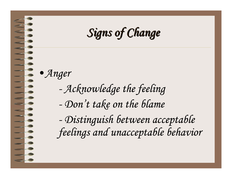*Signs of Change Signs of Change*

*•Anger*

- *Acknowledge the feeling*
- *Don't take on the blame*
- *Distinguish between acceptable feelings and unacceptable behavior*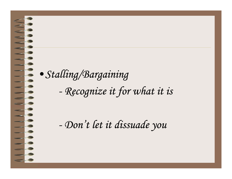

*•Stalling/Bargaining Recognize it for what it is*

*Don't let it dissuade you*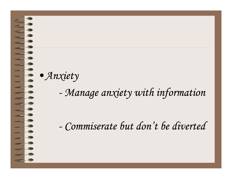*•Anxiety*

*Manage anxiety with information*

*Commiserate but don't be diverted*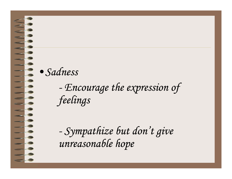#### *•Sadness*

 *Encourage the expression of feelings*

 *Sympathize but don't give unreasonable hope*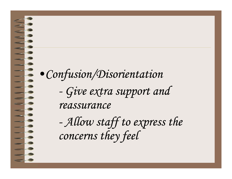## *•Confusion/Disorientation*

*Give extra support and* 

*reassurance*

 *Allow staff to express the concerns they feel*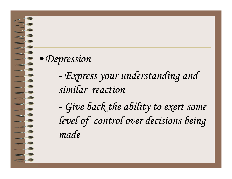#### *•Depression*

- *Express your understanding and similar reaction*
- *Give back the ability to exert some level of control over decisions being made*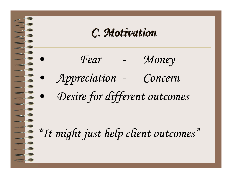*C. Motivation C. Motivation*

 *Fear -Money*

 *Appreciation Concern*

*•*

*•*

*•*

*Desire for different outcomes*

*\*It might just help client outcomes"*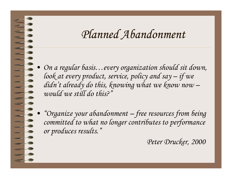#### *Planned Abandonment*

- *•On a regular basis…every organization should sit down, look at every product, s ervice, p olicy and say – if we*  didn't already do this, knowing what we know now – *would we still do this?"*
- *•"Organize your abandonment – free resources from being committed t o what no longer contributes to performance or produces results."*

*Peter Drucker, 2000*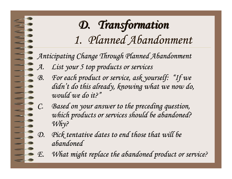## *D. Transformation Transformation 1. Planned Abandonment*

*Anticipating Change Through Planned Abandonment*

*A. List your 5 top products or services* 

- *B. For each product or service, ask yourself: "If we didn't do this already, knowing what we now do, would we do it?"*
- *C. Based on your answer to the preceding question, which products or services should be abandoned? Why?*
- *D. Pick tentative dates to end those that will be abandoned*

*E. What might replace the abandoned product or service?*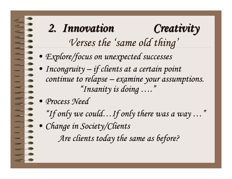# *2. Innovation 2. Innovation Creativity Creativity*



- *Verses the 'same old thing'*
- *• Explore/focus on unexpected successes*
- *• Incongruity – if clients at a certain point continue t o relapse – examine your assumptions. "Insanity is doing …."*
- *• Process Need* 
	- *"If only we could…If only there was a way …"*
- *• Change in Society/Clients*

*Are clients today the same as before?*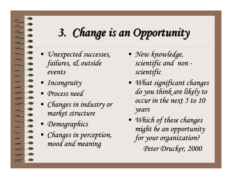# *3. Change is an Opportunity 3. Change is an Opportunity*

- *• Unexpected successes, failures, & outside events*
- *• Incongruity*
- *• Process need*
- *• Changes in industry or market structure*
- *• Demographics*
- *• Changes in perception, mood a nd meaning*
- *• New knowledge, scie n tific and non scie n tific*
- *• What s ignifica nt changes do you think are likely to occur in the next 5 to 10 years*
- *• Which of these changes might be an opp ortunity for your organization? Peter Drucker, 2000*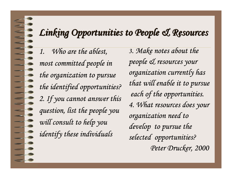#### *Linking Opportunities to People & Resources Linking Opportunities to People & Resources*

*1. Who are the ablest, most committed people in the organization to pursue the identified opp ortunities? 2. If you cannot a nswer this question, list the people you will consult t o help you identify these individuals* 

*3. Make notes about the people & resources your organization currently has that will enable it to p ursue each of the opp ortunit ies. 4. What resources does your organization need t o develop to pursue the selected opp ortunit ies? Peter Drucker, 2000*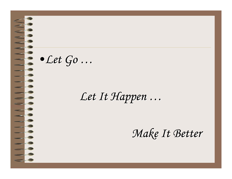*•Let Go … Let Go …*

*Let It Happen … Let It Happen …*

#### *Make It Better Make It Better*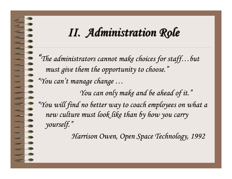### *II. Ad II. Administration Role ministration Role*

*"The administrators cannot make choices for staff…but must give them the opportunity to choose." "You can't manage change …* 

*You can only make and be ahead of it." "You will find no better way to coach employees on what a new culture must look like than by how you carry yourself."*

*Harrison Owen, Open Space Technology, 1992*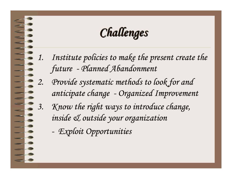*Challenges Challenges*

- Institute policies to make the present create the *future - Planned Abandonment*
- *2. Provide systematic methods to look for and anticipate change - Organized Improvement*
- *3. Know the right ways to introduce change, inside & outside your organization* 
	- *Exploit Opportunities*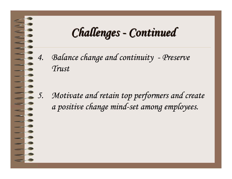*Challenges Challenges - Continued Continued*

*4. Balance change and continuity - Preserve Trust*

*5. Motivate and retain top performers and create a positive change mind-set among employees.*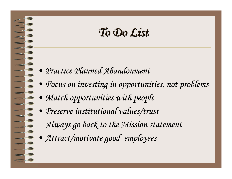#### *To Do List To Do List*

- *• Practice Planned Abandonment*
- *• Focus on investing in opportunities, not problems*
- *• Match opportunities with people*
- *• Preserve institutional values/trust*
	- *Always go back to the Mission statement*
- *• Attract/motivate good employees*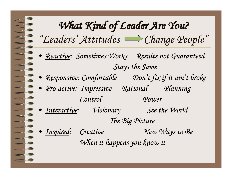|                                | W         |
|--------------------------------|-----------|
|                                |           |
|                                | "Leader   |
|                                |           |
|                                | Reactive  |
|                                |           |
|                                |           |
|                                | Respons   |
|                                | Pro-acti  |
|                                |           |
|                                |           |
|                                | Interacti |
|                                |           |
|                                | Inspired  |
|                                |           |
|                                |           |
| <u>e de compañador de la c</u> |           |

*What Kind of Leader Are You? What Kind of Leader Are You? "Leaders' Attitudes Change People"*

- *Reactive: Sometimes Works Results not Guaranteed Stays the Same*
- *Responsive: Comfortable Don't fix if it ain't broke*
- *Pro-active: Impressive Rational Planning Control Power*
- *Interactive: Vis ionary See the World The Big Picture*
- *Inspired: Creative New Ways t o B e When it happens you know it*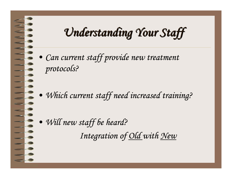

*Understanding Your Staff Understanding Your Staff*

- *• Can current staff provide new t reatment protocols?*
- *• Which current staff need increased train ing?*
- *•Will new staff be heard?*

*Integration of Old with New*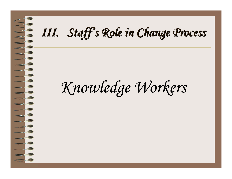

*III. Staff's Role in Change Process III. Staff's Role in Change Process*

# *Knowledge Workers*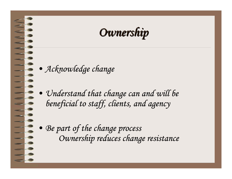*Ownership Ownership*



- *• Understand that change can and will be beneficial to staff, clients, and agency*
- *• Be part of the change process Ownership reduces change resistance*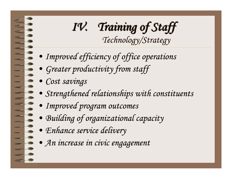### *IV. Training of Staff Training of Staff Technology/Strategy*

- *• Improved efficiency of office operations*
- *• Greater productivity from staff*
- *• Cost savings*
- *• Strengthened relationships with constituents*
- *• Improved program outcomes*
- *• Building of organizational capacity*
- *• Enhance service delivery*
- *• An increase in civic engagement*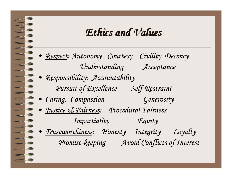#### *Ethics and Values Ethics and Values*

- *•Respect: Aut onomy Courtesy Civility Decency Understanding Acceptance*
- *• Responsibility: Accountability Pursuit of Excellence Self-Restraint*
- *•Caring: Compassion Generosity*
- *•Justice & Fairness: Procedural Fairness*
- *Impartiality Equity • Trustworthiness: Honesty Integrity Loyalty Promise-keeping Avoid Conflicts of Interest*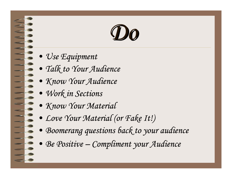

- *• Use Equipment*
- *• Talk to Your Audience*
- *• Know Your Audience*
- *• Work in Sections*
- *• Know Your Material*
- *• Love Your Material (or Fake It!)*
- *• Boomerang questions back to your audience*
- *• Be Positive – Compliment your Audience*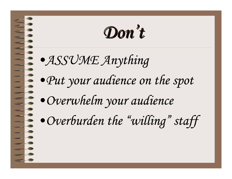*Don't*

- *•ASSUME Anything*
- *•Put your audience on the spot*
- *•Overwhelm your audience*
- *•Overburden the "willing" staff*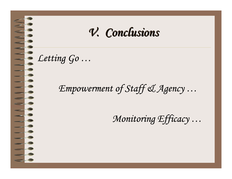*V. Conclusions V. Conclusions*

*Letting Go …*

#### *Empowerment of Staff & Agency …*

#### *Monitoring Efficacy …*